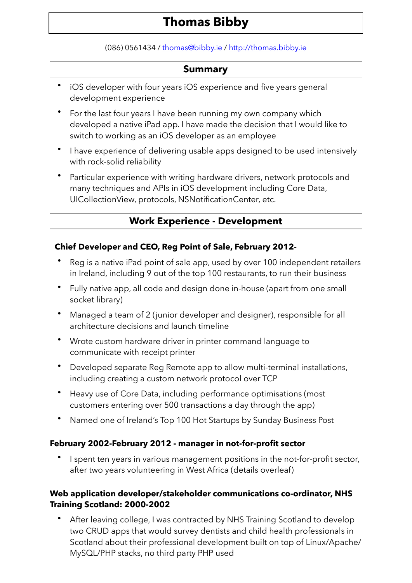# **Thomas Bibby**

(086) 0561434 / [thomas@bibby.ie](mailto:thomas@bibby.ie) / <http://thomas.bibby.ie>

### **Summary**

- iOS developer with four years iOS experience and five years general development experience
- For the last four years I have been running my own company which developed a native iPad app. I have made the decision that I would like to switch to working as an iOS developer as an employee
- I have experience of delivering usable apps designed to be used intensively with rock-solid reliability
- Particular experience with writing hardware drivers, network protocols and many techniques and APIs in iOS development including Core Data, UICollectionView, protocols, NSNotificationCenter, etc.

# **Work Experience - Development**

### **Chief Developer and CEO, Reg Point of Sale, February 2012-**

- Reg is a native iPad point of sale app, used by over 100 independent retailers in Ireland, including 9 out of the top 100 restaurants, to run their business
- Fully native app, all code and design done in-house (apart from one small socket library)
- Managed a team of 2 (junior developer and designer), responsible for all architecture decisions and launch timeline
- Wrote custom hardware driver in printer command language to communicate with receipt printer
- Developed separate Reg Remote app to allow multi-terminal installations, including creating a custom network protocol over TCP
- Heavy use of Core Data, including performance optimisations (most customers entering over 500 transactions a day through the app)
- Named one of Ireland's Top 100 Hot Startups by Sunday Business Post

### **February 2002-February 2012 - manager in not-for-profit sector**

I spent ten years in various management positions in the not-for-profit sector, after two years volunteering in West Africa (details overleaf)

### **Web application developer/stakeholder communications co-ordinator, NHS Training Scotland: 2000-2002**

• After leaving college, I was contracted by NHS Training Scotland to develop two CRUD apps that would survey dentists and child health professionals in Scotland about their professional development built on top of Linux/Apache/ MySQL/PHP stacks, no third party PHP used